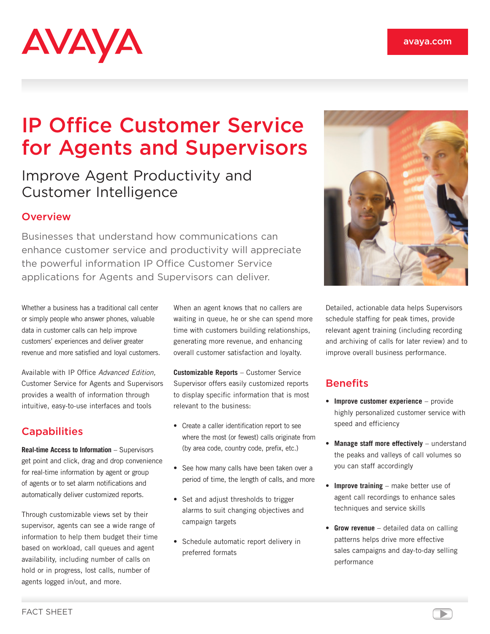# AVAYA

## IP Office Customer Service for Agents and Supervisors

### Improve Agent Productivity and Customer Intelligence

#### **Overview**

Businesses that understand how communications can enhance customer service and productivity will appreciate the powerful information IP Office Customer Service applications for Agents and Supervisors can deliver.

Whether a business has a traditional call center or simply people who answer phones, valuable data in customer calls can help improve customers' experiences and deliver greater revenue and more satisfied and loyal customers.

Available with IP Office Advanced Edition, Customer Service for Agents and Supervisors provides a wealth of information through intuitive, easy-to-use interfaces and tools

#### **Capabilities**

**Real-time Access to Information** – Supervisors get point and click, drag and drop convenience for real-time information by agent or group of agents or to set alarm notifications and automatically deliver customized reports.

Through customizable views set by their supervisor, agents can see a wide range of information to help them budget their time based on workload, call queues and agent availability, including number of calls on hold or in progress, lost calls, number of agents logged in/out, and more.

When an agent knows that no callers are waiting in queue, he or she can spend more time with customers building relationships, generating more revenue, and enhancing overall customer satisfaction and loyalty.

**Customizable Reports** – Customer Service Supervisor offers easily customized reports to display specific information that is most relevant to the business:

- • Create a caller identification report to see where the most (or fewest) calls originate from (by area code, country code, prefix, etc.)
- See how many calls have been taken over a period of time, the length of calls, and more
- Set and adjust thresholds to trigger alarms to suit changing objectives and campaign targets
- • Schedule automatic report delivery in preferred formats



Detailed, actionable data helps Supervisors schedule staffing for peak times, provide relevant agent training (including recording and archiving of calls for later review) and to improve overall business performance.

#### **Benefits**

- • **Improve customer experience** provide highly personalized customer service with speed and efficiency
- • **Manage staff more effectively** understand the peaks and valleys of call volumes so you can staff accordingly
- • **Improve training** make better use of agent call recordings to enhance sales techniques and service skills
- **Grow revenue** detailed data on calling patterns helps drive more effective sales campaigns and day-to-day selling performance